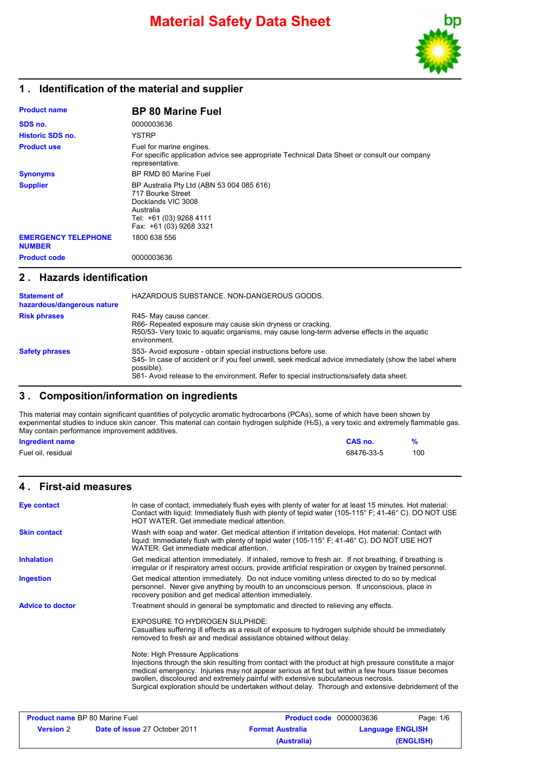

## **1 . Identification of the material and supplier**

| <b>Product name</b>                         | <b>BP 80 Marine Fuel</b>                                                                                                                                |
|---------------------------------------------|---------------------------------------------------------------------------------------------------------------------------------------------------------|
| SDS no.                                     | 0000003636                                                                                                                                              |
| <b>Historic SDS no.</b>                     | <b>YSTRP</b>                                                                                                                                            |
| <b>Product use</b>                          | Fuel for marine engines.<br>For specific application advice see appropriate Technical Data Sheet or consult our company<br>representative.              |
| <b>Synonyms</b>                             | BP RMD 80 Marine Fuel                                                                                                                                   |
| <b>Supplier</b>                             | BP Australia Pty Ltd (ABN 53 004 085 616)<br>717 Bourke Street<br>Docklands VIC 3008<br>Australia<br>Tel: +61 (03) 9268 4111<br>Fax: +61 (03) 9268 3321 |
| <b>EMERGENCY TELEPHONE</b><br><b>NUMBER</b> | 1800 638 556                                                                                                                                            |
| <b>Product code</b>                         | 0000003636                                                                                                                                              |

### **2 . Hazards identification**

| <b>Statement of</b><br>hazardous/dangerous nature | HAZARDOUS SUBSTANCE, NON-DANGEROUS GOODS.                                                                                                                                                                                                                                       |
|---------------------------------------------------|---------------------------------------------------------------------------------------------------------------------------------------------------------------------------------------------------------------------------------------------------------------------------------|
| <b>Risk phrases</b>                               | R45- May cause cancer.<br>R66- Repeated exposure may cause skin dryness or cracking.<br>R50/53- Very toxic to aguatic organisms, may cause long-term adverse effects in the aguatic<br>environment.                                                                             |
| <b>Safety phrases</b>                             | S53- Avoid exposure - obtain special instructions before use.<br>S45- In case of accident or if you feel unwell, seek medical advice immediately (show the label where<br>possible).<br>S61- Avoid release to the environment. Refer to special instructions/safety data sheet. |

# **3 . Composition/information on ingredients**

This material may contain significant quantities of polycyclic aromatic hydrocarbons (PCAs), some of which have been shown by experimental studies to induce skin cancer. This material can contain hydrogen sulphide (H2S), a very toxic and extremely flammable gas. May contain performance improvement additives.

| <b>Ingredient name</b> | CAS no.    |     |
|------------------------|------------|-----|
| Fuel oil, residual     | 68476-33-5 | 100 |

## **4 . First-aid measures**

| <b>Eye contact</b>      | In case of contact, immediately flush eyes with plenty of water for at least 15 minutes. Hot material:<br>Contact with liquid: Immediately flush with plenty of tepid water (105-115° F; 41-46° C). DO NOT USE<br>HOT WATER. Get immediate medical attention.                                                                                                                                                                              |
|-------------------------|--------------------------------------------------------------------------------------------------------------------------------------------------------------------------------------------------------------------------------------------------------------------------------------------------------------------------------------------------------------------------------------------------------------------------------------------|
| <b>Skin contact</b>     | Wash with soap and water. Get medical attention if irritation develops. Hot material: Contact with<br>liquid: Immediately flush with plenty of tepid water (105-115° F; 41-46° C). DO NOT USE HOT<br>WATER, Get immediate medical attention.                                                                                                                                                                                               |
| <b>Inhalation</b>       | Get medical attention immediately. If inhaled, remove to fresh air. If not breathing, if breathing is<br>irregular or if respiratory arrest occurs, provide artificial respiration or oxygen by trained personnel.                                                                                                                                                                                                                         |
| <b>Ingestion</b>        | Get medical attention immediately. Do not induce vomiting unless directed to do so by medical<br>personnel. Never give anything by mouth to an unconscious person. If unconscious, place in<br>recovery position and get medical attention immediately.                                                                                                                                                                                    |
| <b>Advice to doctor</b> | Treatment should in general be symptomatic and directed to relieving any effects.                                                                                                                                                                                                                                                                                                                                                          |
|                         | EXPOSURE TO HYDROGEN SULPHIDE:<br>Casualties suffering ill effects as a result of exposure to hydrogen sulphide should be immediately<br>removed to fresh air and medical assistance obtained without delay.                                                                                                                                                                                                                               |
|                         | Note: High Pressure Applications<br>Injections through the skin resulting from contact with the product at high pressure constitute a major<br>medical emergency. Injuries may not appear serious at first but within a few hours tissue becomes<br>swollen, discoloured and extremely painful with extensive subcutaneous necrosis.<br>Surgical exploration should be undertaken without delay. Thorough and extensive debridement of the |
|                         |                                                                                                                                                                                                                                                                                                                                                                                                                                            |

| <b>Product name BP 80 Marine Fuel</b> |                                      | <b>Product code</b> 0000003636 | Page: 1/6               |
|---------------------------------------|--------------------------------------|--------------------------------|-------------------------|
| <b>Version</b> 2                      | <b>Date of issue 27 October 2011</b> | <b>Format Australia</b>        | <b>Language ENGLISH</b> |
|                                       |                                      | (Australia)                    | (ENGLISH)               |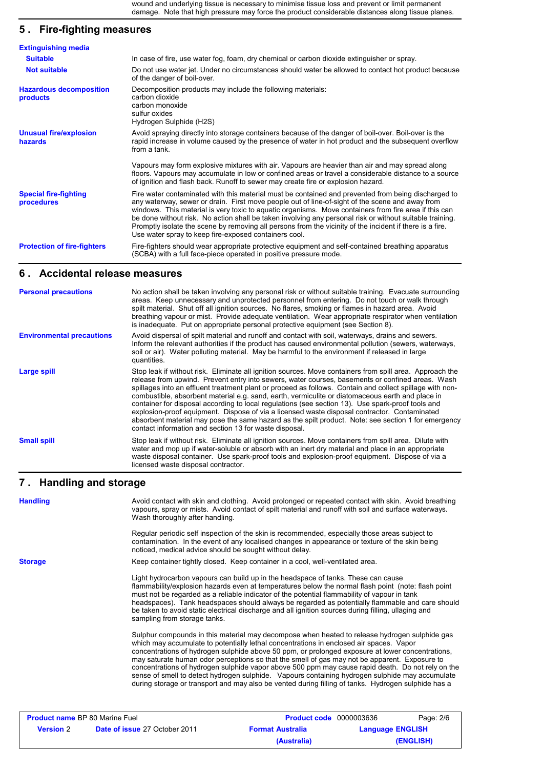wound and underlying tissue is necessary to minimise tissue loss and prevent or limit permanent damage. Note that high pressure may force the product considerable distances along tissue planes.

# **5 . Fire-fighting measures**

| <b>Extinguishing media</b>                 |                                                                                                                                                                                                                                                                                                                                                                                                                                                                                                                                                                                                  |
|--------------------------------------------|--------------------------------------------------------------------------------------------------------------------------------------------------------------------------------------------------------------------------------------------------------------------------------------------------------------------------------------------------------------------------------------------------------------------------------------------------------------------------------------------------------------------------------------------------------------------------------------------------|
| <b>Suitable</b>                            | In case of fire, use water fog, foam, dry chemical or carbon dioxide extinguisher or spray.                                                                                                                                                                                                                                                                                                                                                                                                                                                                                                      |
| <b>Not suitable</b>                        | Do not use water jet. Under no circumstances should water be allowed to contact hot product because<br>of the danger of boil-over.                                                                                                                                                                                                                                                                                                                                                                                                                                                               |
| <b>Hazardous decomposition</b><br>products | Decomposition products may include the following materials:<br>carbon dioxide<br>carbon monoxide<br>sulfur oxides<br>Hydrogen Sulphide (H2S)                                                                                                                                                                                                                                                                                                                                                                                                                                                     |
| <b>Unusual fire/explosion</b><br>hazards   | Avoid spraying directly into storage containers because of the danger of boil-over. Boil-over is the<br>rapid increase in volume caused by the presence of water in hot product and the subsequent overflow<br>from a tank.                                                                                                                                                                                                                                                                                                                                                                      |
|                                            | Vapours may form explosive mixtures with air. Vapours are heavier than air and may spread along<br>floors. Vapours may accumulate in low or confined areas or travel a considerable distance to a source<br>of ignition and flash back. Runoff to sewer may create fire or explosion hazard.                                                                                                                                                                                                                                                                                                     |
| <b>Special fire-fighting</b><br>procedures | Fire water contaminated with this material must be contained and prevented from being discharged to<br>any waterway, sewer or drain. First move people out of line-of-sight of the scene and away from<br>windows. This material is very toxic to aguatic organisms. Move containers from fire area if this can<br>be done without risk. No action shall be taken involving any personal risk or without suitable training.<br>Promptly isolate the scene by removing all persons from the vicinity of the incident if there is a fire.<br>Use water spray to keep fire-exposed containers cool. |
| <b>Protection of fire-fighters</b>         | Fire-fighters should wear appropriate protective equipment and self-contained breathing apparatus<br>(SCBA) with a full face-piece operated in positive pressure mode.                                                                                                                                                                                                                                                                                                                                                                                                                           |

#### **6 . Accidental release measures**

| <b>Personal precautions</b>      | No action shall be taken involving any personal risk or without suitable training. Evacuate surrounding<br>areas. Keep unnecessary and unprotected personnel from entering. Do not touch or walk through<br>spilt material. Shut off all ignition sources. No flares, smoking or flames in hazard area. Avoid<br>breathing vapour or mist. Provide adequate ventilation. Wear appropriate respirator when ventilation<br>is inadequate. Put on appropriate personal protective equipment (see Section 8).                                                                                                                                                                                                                                                                                          |
|----------------------------------|----------------------------------------------------------------------------------------------------------------------------------------------------------------------------------------------------------------------------------------------------------------------------------------------------------------------------------------------------------------------------------------------------------------------------------------------------------------------------------------------------------------------------------------------------------------------------------------------------------------------------------------------------------------------------------------------------------------------------------------------------------------------------------------------------|
| <b>Environmental precautions</b> | Avoid dispersal of spilt material and runoff and contact with soil, waterways, drains and sewers.<br>Inform the relevant authorities if the product has caused environmental pollution (sewers, waterways,<br>soil or air). Water polluting material. May be harmful to the environment if released in large<br>quantities.                                                                                                                                                                                                                                                                                                                                                                                                                                                                        |
| Large spill                      | Stop leak if without risk. Eliminate all ignition sources. Move containers from spill area. Approach the<br>release from upwind. Prevent entry into sewers, water courses, basements or confined areas. Wash<br>spillages into an effluent treatment plant or proceed as follows. Contain and collect spillage with non-<br>combustible, absorbent material e.g. sand, earth, vermiculite or diatomaceous earth and place in<br>container for disposal according to local regulations (see section 13). Use spark-proof tools and<br>explosion-proof equipment. Dispose of via a licensed waste disposal contractor. Contaminated<br>absorbent material may pose the same hazard as the spilt product. Note: see section 1 for emergency<br>contact information and section 13 for waste disposal. |
| <b>Small spill</b>               | Stop leak if without risk. Eliminate all ignition sources. Move containers from spill area. Dilute with<br>water and mop up if water-soluble or absorb with an inert dry material and place in an appropriate<br>waste disposal container. Use spark-proof tools and explosion-proof equipment. Dispose of via a<br>licensed waste disposal contractor.                                                                                                                                                                                                                                                                                                                                                                                                                                            |
|                                  |                                                                                                                                                                                                                                                                                                                                                                                                                                                                                                                                                                                                                                                                                                                                                                                                    |

## **Handling and storage 7 .**

| <b>Handling</b> | Avoid contact with skin and clothing. Avoid prolonged or repeated contact with skin. Avoid breathing<br>vapours, spray or mists. Avoid contact of spilt material and runoff with soil and surface waterways.<br>Wash thoroughly after handling.                                                                                                                                                                                                                                                                                                                                                                                                                                                              |
|-----------------|--------------------------------------------------------------------------------------------------------------------------------------------------------------------------------------------------------------------------------------------------------------------------------------------------------------------------------------------------------------------------------------------------------------------------------------------------------------------------------------------------------------------------------------------------------------------------------------------------------------------------------------------------------------------------------------------------------------|
|                 | Regular periodic self inspection of the skin is recommended, especially those areas subject to<br>contamination. In the event of any localised changes in appearance or texture of the skin being<br>noticed, medical advice should be sought without delay.                                                                                                                                                                                                                                                                                                                                                                                                                                                 |
| <b>Storage</b>  | Keep container tightly closed. Keep container in a cool, well-ventilated area.                                                                                                                                                                                                                                                                                                                                                                                                                                                                                                                                                                                                                               |
|                 | Light hydrocarbon vapours can build up in the headspace of tanks. These can cause<br>flammability/explosion hazards even at temperatures below the normal flash point (note: flash point<br>must not be regarded as a reliable indicator of the potential flammability of vapour in tank<br>headspaces). Tank headspaces should always be regarded as potentially flammable and care should<br>be taken to avoid static electrical discharge and all ignition sources during filling, ullaging and<br>sampling from storage tanks.                                                                                                                                                                           |
|                 | Sulphur compounds in this material may decompose when heated to release hydrogen sulphide gas<br>which may accumulate to potentially lethal concentrations in enclosed air spaces. Vapor<br>concentrations of hydrogen sulphide above 50 ppm, or prolonged exposure at lower concentrations,<br>may saturate human odor perceptions so that the smell of gas may not be apparent. Exposure to<br>concentrations of hydrogen sulphide vapor above 500 ppm may cause rapid death. Do not rely on the<br>sense of smell to detect hydrogen sulphide. Vapours containing hydrogen sulphide may accumulate<br>during storage or transport and may also be vented during filling of tanks. Hydrogen sulphide has a |
|                 |                                                                                                                                                                                                                                                                                                                                                                                                                                                                                                                                                                                                                                                                                                              |

| <b>Product name BP 80 Marine Fuel</b> |                                      | <b>Product code</b> 0000003636 | Page: 2/6               |
|---------------------------------------|--------------------------------------|--------------------------------|-------------------------|
| <b>Version</b> 2                      | <b>Date of issue 27 October 2011</b> | <b>Format Australia</b>        | <b>Language ENGLISH</b> |
|                                       |                                      | (Australia)                    | (ENGLISH)               |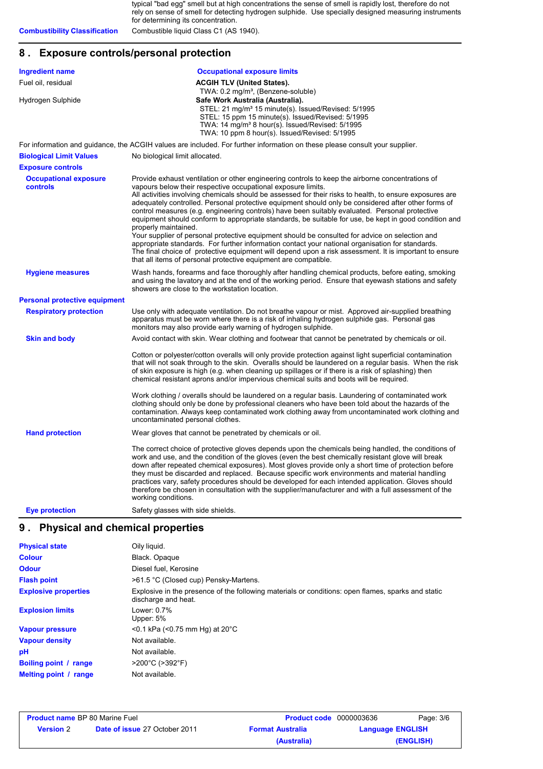typical "bad egg" smell but at high concentrations the sense of smell is rapidly lost, therefore do not rely on sense of smell for detecting hydrogen sulphide. Use specially designed measuring instruments for determining its concentration. **Combustibility Classification** Combustible liquid Class C1 (AS 1940).

# **8 . Exposure controls/personal protection**

| <b>Ingredient name</b>                   | <b>Occupational exposure limits</b>                                                                                                                                                                                                                                                                                                                                                                                                                                                                                                                                                                                                                                                                                                                                                                                                                                                                                                                                                                       |
|------------------------------------------|-----------------------------------------------------------------------------------------------------------------------------------------------------------------------------------------------------------------------------------------------------------------------------------------------------------------------------------------------------------------------------------------------------------------------------------------------------------------------------------------------------------------------------------------------------------------------------------------------------------------------------------------------------------------------------------------------------------------------------------------------------------------------------------------------------------------------------------------------------------------------------------------------------------------------------------------------------------------------------------------------------------|
| Fuel oil, residual                       | <b>ACGIH TLV (United States).</b>                                                                                                                                                                                                                                                                                                                                                                                                                                                                                                                                                                                                                                                                                                                                                                                                                                                                                                                                                                         |
| Hydrogen Sulphide                        | TWA: 0.2 mg/m <sup>3</sup> , (Benzene-soluble)<br>Safe Work Australia (Australia).<br>STEL: 21 mg/m <sup>3</sup> 15 minute(s). Issued/Revised: 5/1995<br>STEL: 15 ppm 15 minute(s). Issued/Revised: 5/1995<br>TWA: 14 mg/m <sup>3</sup> 8 hour(s). Issued/Revised: 5/1995<br>TWA: 10 ppm 8 hour(s). Issued/Revised: 5/1995                                                                                                                                                                                                                                                                                                                                                                                                                                                                                                                                                                                                                                                                                |
|                                          | For information and guidance, the ACGIH values are included. For further information on these please consult your supplier.                                                                                                                                                                                                                                                                                                                                                                                                                                                                                                                                                                                                                                                                                                                                                                                                                                                                               |
| <b>Biological Limit Values</b>           | No biological limit allocated.                                                                                                                                                                                                                                                                                                                                                                                                                                                                                                                                                                                                                                                                                                                                                                                                                                                                                                                                                                            |
| <b>Exposure controls</b>                 |                                                                                                                                                                                                                                                                                                                                                                                                                                                                                                                                                                                                                                                                                                                                                                                                                                                                                                                                                                                                           |
| <b>Occupational exposure</b><br>controls | Provide exhaust ventilation or other engineering controls to keep the airborne concentrations of<br>vapours below their respective occupational exposure limits.<br>All activities involving chemicals should be assessed for their risks to health, to ensure exposures are<br>adequately controlled. Personal protective equipment should only be considered after other forms of<br>control measures (e.g. engineering controls) have been suitably evaluated. Personal protective<br>equipment should conform to appropriate standards, be suitable for use, be kept in good condition and<br>properly maintained.<br>Your supplier of personal protective equipment should be consulted for advice on selection and<br>appropriate standards. For further information contact your national organisation for standards.<br>The final choice of protective equipment will depend upon a risk assessment. It is important to ensure<br>that all items of personal protective equipment are compatible. |
| <b>Hygiene measures</b>                  | Wash hands, forearms and face thoroughly after handling chemical products, before eating, smoking<br>and using the lavatory and at the end of the working period. Ensure that eyewash stations and safety<br>showers are close to the workstation location.                                                                                                                                                                                                                                                                                                                                                                                                                                                                                                                                                                                                                                                                                                                                               |
| <b>Personal protective equipment</b>     |                                                                                                                                                                                                                                                                                                                                                                                                                                                                                                                                                                                                                                                                                                                                                                                                                                                                                                                                                                                                           |
| <b>Respiratory protection</b>            | Use only with adequate ventilation. Do not breathe vapour or mist. Approved air-supplied breathing<br>apparatus must be worn where there is a risk of inhaling hydrogen sulphide gas. Personal gas<br>monitors may also provide early warning of hydrogen sulphide.                                                                                                                                                                                                                                                                                                                                                                                                                                                                                                                                                                                                                                                                                                                                       |
| <b>Skin and body</b>                     | Avoid contact with skin. Wear clothing and footwear that cannot be penetrated by chemicals or oil.                                                                                                                                                                                                                                                                                                                                                                                                                                                                                                                                                                                                                                                                                                                                                                                                                                                                                                        |
|                                          | Cotton or polyester/cotton overalls will only provide protection against light superficial contamination<br>that will not soak through to the skin. Overalls should be laundered on a regular basis. When the risk<br>of skin exposure is high (e.g. when cleaning up spillages or if there is a risk of splashing) then<br>chemical resistant aprons and/or impervious chemical suits and boots will be required.                                                                                                                                                                                                                                                                                                                                                                                                                                                                                                                                                                                        |
|                                          | Work clothing / overalls should be laundered on a regular basis. Laundering of contaminated work<br>clothing should only be done by professional cleaners who have been told about the hazards of the<br>contamination. Always keep contaminated work clothing away from uncontaminated work clothing and<br>uncontaminated personal clothes.                                                                                                                                                                                                                                                                                                                                                                                                                                                                                                                                                                                                                                                             |
| <b>Hand protection</b>                   | Wear gloves that cannot be penetrated by chemicals or oil.                                                                                                                                                                                                                                                                                                                                                                                                                                                                                                                                                                                                                                                                                                                                                                                                                                                                                                                                                |
|                                          | The correct choice of protective gloves depends upon the chemicals being handled, the conditions of<br>work and use, and the condition of the gloves (even the best chemically resistant glove will break<br>down after repeated chemical exposures). Most gloves provide only a short time of protection before<br>they must be discarded and replaced. Because specific work environments and material handling<br>practices vary, safety procedures should be developed for each intended application. Gloves should<br>therefore be chosen in consultation with the supplier/manufacturer and with a full assessment of the<br>working conditions.                                                                                                                                                                                                                                                                                                                                                    |
| <b>Eye protection</b>                    | Safety glasses with side shields.                                                                                                                                                                                                                                                                                                                                                                                                                                                                                                                                                                                                                                                                                                                                                                                                                                                                                                                                                                         |

| <b>Physical state</b>       | Oily liguid.                                                                                                              |
|-----------------------------|---------------------------------------------------------------------------------------------------------------------------|
| <b>Colour</b>               | Black. Opaque                                                                                                             |
| <b>Odour</b>                | Diesel fuel, Kerosine                                                                                                     |
| <b>Flash point</b>          | >61.5 °C (Closed cup) Pensky-Martens.                                                                                     |
| <b>Explosive properties</b> | Explosive in the presence of the following materials or conditions: open flames, sparks and static<br>discharge and heat. |
| <b>Explosion limits</b>     | Lower: 0.7%<br>Upper: $5%$                                                                                                |
| <b>Vapour pressure</b>      | $<$ 0.1 kPa ( $<$ 0.75 mm Hg) at 20 $^{\circ}$ C                                                                          |
| <b>Vapour density</b>       | Not available.                                                                                                            |
| рH                          | Not available.                                                                                                            |
| Boiling point / range       | $>200^{\circ}$ C ( $>392^{\circ}$ F)                                                                                      |
| Melting point / range       | Not available.                                                                                                            |

| <b>Product name BP 80 Marine Fuel</b> |                                      | <b>Product code</b> 0000003636 | Page: 3/6               |
|---------------------------------------|--------------------------------------|--------------------------------|-------------------------|
| <b>Version</b> 2                      | <b>Date of issue 27 October 2011</b> | <b>Format Australia</b>        | <b>Language ENGLISH</b> |
|                                       |                                      | (Australia)                    | (ENGLISH)               |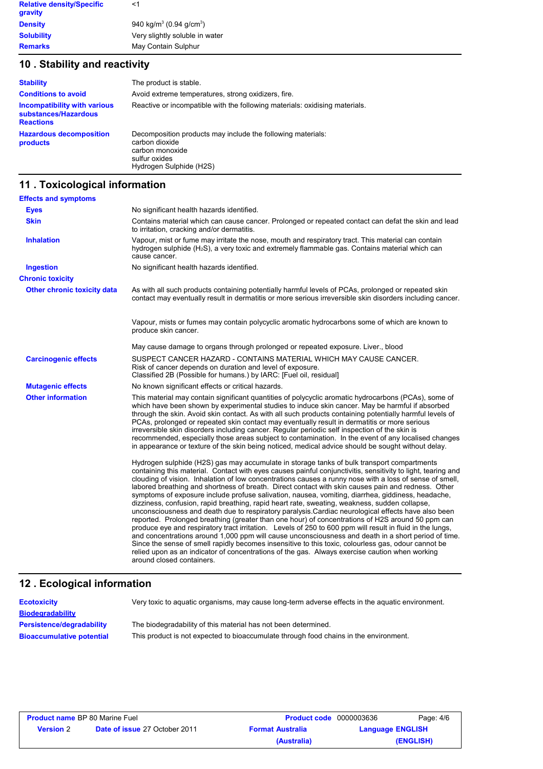| <b>Relative density/Specific</b><br>gravity | <1                                              |
|---------------------------------------------|-------------------------------------------------|
| <b>Density</b>                              | 940 kg/m <sup>3</sup> (0.94 g/cm <sup>3</sup> ) |
| <b>Solubility</b>                           | Very slightly soluble in water                  |
| <b>Remarks</b>                              | May Contain Sulphur                             |

# **10 . Stability and reactivity**

| <b>Stability</b>                                                         | The product is stable.                                                                                                                       |
|--------------------------------------------------------------------------|----------------------------------------------------------------------------------------------------------------------------------------------|
| <b>Conditions to avoid</b>                                               | Avoid extreme temperatures, strong oxidizers, fire.                                                                                          |
| Incompatibility with various<br>substances/Hazardous<br><b>Reactions</b> | Reactive or incompatible with the following materials: oxidising materials.                                                                  |
| <b>Hazardous decomposition</b><br>products                               | Decomposition products may include the following materials:<br>carbon dioxide<br>carbon monoxide<br>sulfur oxides<br>Hydrogen Sulphide (H2S) |

# **11 . Toxicological information**

| <b>Effects and symptoms</b>        |                                                                                                                                                                                                                                                                                                                                                                                                                                                                                                                                                                                                                                                                                                                                                                                                                                                                                                                                                                                                                                                                                                                                                                                                                                                                                                        |
|------------------------------------|--------------------------------------------------------------------------------------------------------------------------------------------------------------------------------------------------------------------------------------------------------------------------------------------------------------------------------------------------------------------------------------------------------------------------------------------------------------------------------------------------------------------------------------------------------------------------------------------------------------------------------------------------------------------------------------------------------------------------------------------------------------------------------------------------------------------------------------------------------------------------------------------------------------------------------------------------------------------------------------------------------------------------------------------------------------------------------------------------------------------------------------------------------------------------------------------------------------------------------------------------------------------------------------------------------|
| <b>Eyes</b>                        | No significant health hazards identified.                                                                                                                                                                                                                                                                                                                                                                                                                                                                                                                                                                                                                                                                                                                                                                                                                                                                                                                                                                                                                                                                                                                                                                                                                                                              |
| <b>Skin</b>                        | Contains material which can cause cancer. Prolonged or repeated contact can defat the skin and lead<br>to irritation, cracking and/or dermatitis.                                                                                                                                                                                                                                                                                                                                                                                                                                                                                                                                                                                                                                                                                                                                                                                                                                                                                                                                                                                                                                                                                                                                                      |
| <b>Inhalation</b>                  | Vapour, mist or fume may irritate the nose, mouth and respiratory tract. This material can contain<br>hydrogen sulphide $(H_2S)$ , a very toxic and extremely flammable gas. Contains material which can<br>cause cancer.                                                                                                                                                                                                                                                                                                                                                                                                                                                                                                                                                                                                                                                                                                                                                                                                                                                                                                                                                                                                                                                                              |
| <b>Ingestion</b>                   | No significant health hazards identified.                                                                                                                                                                                                                                                                                                                                                                                                                                                                                                                                                                                                                                                                                                                                                                                                                                                                                                                                                                                                                                                                                                                                                                                                                                                              |
| <b>Chronic toxicity</b>            |                                                                                                                                                                                                                                                                                                                                                                                                                                                                                                                                                                                                                                                                                                                                                                                                                                                                                                                                                                                                                                                                                                                                                                                                                                                                                                        |
| <b>Other chronic toxicity data</b> | As with all such products containing potentially harmful levels of PCAs, prolonged or repeated skin<br>contact may eventually result in dermatitis or more serious irreversible skin disorders including cancer.                                                                                                                                                                                                                                                                                                                                                                                                                                                                                                                                                                                                                                                                                                                                                                                                                                                                                                                                                                                                                                                                                       |
|                                    | Vapour, mists or fumes may contain polycyclic aromatic hydrocarbons some of which are known to<br>produce skin cancer.                                                                                                                                                                                                                                                                                                                                                                                                                                                                                                                                                                                                                                                                                                                                                                                                                                                                                                                                                                                                                                                                                                                                                                                 |
|                                    | May cause damage to organs through prolonged or repeated exposure. Liver., blood                                                                                                                                                                                                                                                                                                                                                                                                                                                                                                                                                                                                                                                                                                                                                                                                                                                                                                                                                                                                                                                                                                                                                                                                                       |
| <b>Carcinogenic effects</b>        | SUSPECT CANCER HAZARD - CONTAINS MATERIAL WHICH MAY CAUSE CANCER.<br>Risk of cancer depends on duration and level of exposure.<br>Classified 2B (Possible for humans.) by IARC: [Fuel oil, residual]                                                                                                                                                                                                                                                                                                                                                                                                                                                                                                                                                                                                                                                                                                                                                                                                                                                                                                                                                                                                                                                                                                   |
| <b>Mutagenic effects</b>           | No known significant effects or critical hazards.                                                                                                                                                                                                                                                                                                                                                                                                                                                                                                                                                                                                                                                                                                                                                                                                                                                                                                                                                                                                                                                                                                                                                                                                                                                      |
| <b>Other information</b>           | This material may contain significant quantities of polycyclic aromatic hydrocarbons (PCAs), some of<br>which have been shown by experimental studies to induce skin cancer. May be harmful if absorbed<br>through the skin. Avoid skin contact. As with all such products containing potentially harmful levels of<br>PCAs, prolonged or repeated skin contact may eventually result in dermatitis or more serious<br>irreversible skin disorders including cancer. Regular periodic self inspection of the skin is<br>recommended, especially those areas subject to contamination. In the event of any localised changes<br>in appearance or texture of the skin being noticed, medical advice should be sought without delay.                                                                                                                                                                                                                                                                                                                                                                                                                                                                                                                                                                      |
|                                    | Hydrogen sulphide (H2S) gas may accumulate in storage tanks of bulk transport compartments<br>containing this material. Contact with eyes causes painful conjunctivitis, sensitivity to light, tearing and<br>clouding of vision. Inhalation of low concentrations causes a runny nose with a loss of sense of smell,<br>labored breathing and shortness of breath. Direct contact with skin causes pain and redness. Other<br>symptoms of exposure include profuse salivation, nausea, vomiting, diarrhea, giddiness, headache,<br>dizziness, confusion, rapid breathing, rapid heart rate, sweating, weakness, sudden collapse,<br>unconsciousness and death due to respiratory paralysis. Cardiac neurological effects have also been<br>reported. Prolonged breathing (greater than one hour) of concentrations of H2S around 50 ppm can<br>produce eye and respiratory tract irritation. Levels of 250 to 600 ppm will result in fluid in the lungs,<br>and concentrations around 1,000 ppm will cause unconsciousness and death in a short period of time.<br>Since the sense of smell rapidly becomes insensitive to this toxic, colourless gas, odour cannot be<br>relied upon as an indicator of concentrations of the gas. Always exercise caution when working<br>around closed containers. |

## **Ecological information 12 .**

| <b>Ecotoxicity</b>               | Very toxic to aguatic organisms, may cause long-term adverse effects in the aguatic environment. |
|----------------------------------|--------------------------------------------------------------------------------------------------|
| <b>Biodegradability</b>          |                                                                                                  |
| Persistence/degradability        | The biodegradability of this material has not been determined.                                   |
| <b>Bioaccumulative potential</b> | This product is not expected to bioaccumulate through food chains in the environment.            |

|                  | <b>Product name BP 80 Marine Fuel</b> | <b>Product code</b> 0000003636 |                         | Page: 4/6 |
|------------------|---------------------------------------|--------------------------------|-------------------------|-----------|
| <b>Version</b> 2 | <b>Date of issue 27 October 2011</b>  | <b>Format Australia</b>        | <b>Language ENGLISH</b> |           |
|                  |                                       | (Australia)                    |                         | (ENGLISH) |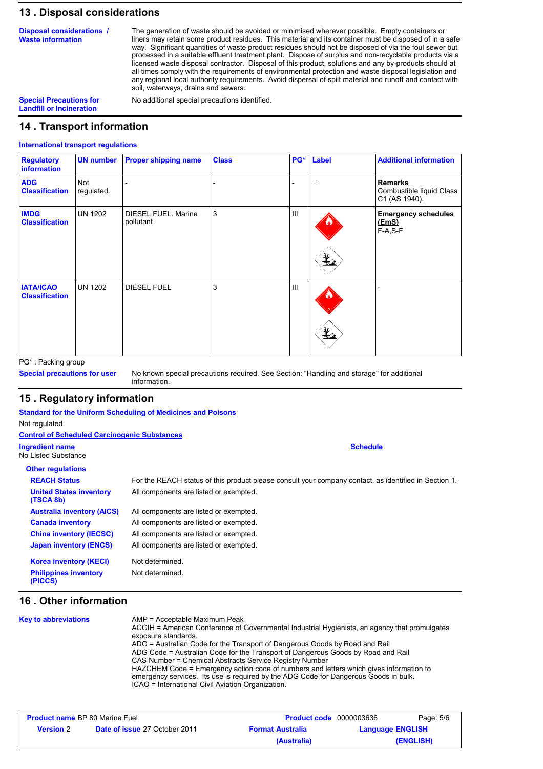# **13 . Disposal considerations**

**Disposal considerations / Waste information**

The generation of waste should be avoided or minimised wherever possible. Empty containers or liners may retain some product residues. This material and its container must be disposed of in a safe way. Significant quantities of waste product residues should not be disposed of via the foul sewer but processed in a suitable effluent treatment plant. Dispose of surplus and non-recyclable products via a licensed waste disposal contractor. Disposal of this product, solutions and any by-products should at all times comply with the requirements of environmental protection and waste disposal legislation and any regional local authority requirements. Avoid dispersal of spilt material and runoff and contact with soil, waterways, drains and sewers.

**Landfill or Incineration**

**Special Precautions for** No additional special precautions identified.

# **14 . Transport information**

### **International transport regulations**

| <b>Regulatory</b><br><b>information</b>   | <b>UN number</b>         | <b>Proper shipping name</b>             | <b>Class</b> | PG* | Label         | <b>Additional information</b>                               |
|-------------------------------------------|--------------------------|-----------------------------------------|--------------|-----|---------------|-------------------------------------------------------------|
| <b>ADG</b><br><b>Classification</b>       | <b>Not</b><br>regulated. |                                         |              |     |               | <b>Remarks</b><br>Combustible liquid Class<br>C1 (AS 1940). |
| <b>IMDG</b><br><b>Classification</b>      | UN 1202                  | <b>DIESEL FUEL. Marine</b><br>pollutant | 3            | III | $\frac{1}{2}$ | <b>Emergency schedules</b><br><u>(EmS)</u><br>$F-A, S-F$    |
| <b>IATA/ICAO</b><br><b>Classification</b> | UN 1202                  | <b>DIESEL FUEL</b>                      | 3            | III | ᆇ             |                                                             |

PG\* : Packing group

**Special precautions for user**

No known special precautions required. See Section: "Handling and storage" for additional information.

## **15 . Regulatory information**

|                                                     | <b>Standard for the Uniform Scheduling of Medicines and Poisons</b>                                   |
|-----------------------------------------------------|-------------------------------------------------------------------------------------------------------|
| Not regulated.                                      |                                                                                                       |
| <b>Control of Scheduled Carcinogenic Substances</b> |                                                                                                       |
| <b>Ingredient name</b>                              | <b>Schedule</b>                                                                                       |
| No Listed Substance                                 |                                                                                                       |
| <b>Other regulations</b>                            |                                                                                                       |
| <b>REACH Status</b>                                 | For the REACH status of this product please consult your company contact, as identified in Section 1. |
| <b>United States inventory</b><br>(TSCA 8b)         | All components are listed or exempted.                                                                |
| <b>Australia inventory (AICS)</b>                   | All components are listed or exempted.                                                                |
| <b>Canada inventory</b>                             | All components are listed or exempted.                                                                |
| <b>China inventory (IECSC)</b>                      | All components are listed or exempted.                                                                |
| <b>Japan inventory (ENCS)</b>                       | All components are listed or exempted.                                                                |
| <b>Korea inventory (KECI)</b>                       | Not determined.                                                                                       |
| <b>Philippines inventory</b><br>(PICCS)             | Not determined.                                                                                       |

# **16 . Other information**

| <b>Key to abbreviations</b> | AMP = Acceptable Maximum Peak<br>ACGIH = American Conference of Governmental Industrial Hygienists, an agency that promulgates<br>exposure standards. |
|-----------------------------|-------------------------------------------------------------------------------------------------------------------------------------------------------|
|                             | ADG = Australian Code for the Transport of Dangerous Goods by Road and Rail                                                                           |
|                             | ADG Code = Australian Code for the Transport of Dangerous Goods by Road and Rail                                                                      |
|                             | CAS Number = Chemical Abstracts Service Registry Number                                                                                               |
|                             | HAZCHEM Code = Emergency action code of numbers and letters which gives information to                                                                |
|                             | emergency services. Its use is required by the ADG Code for Dangerous Goods in bulk.                                                                  |
|                             | ICAO = International Civil Aviation Organization.                                                                                                     |

| <b>Product name BP 80 Marine Fuel</b> |                                      | <b>Product code</b> 0000003636 |                         | Page: 5/6 |
|---------------------------------------|--------------------------------------|--------------------------------|-------------------------|-----------|
| <b>Version</b> 2                      | <b>Date of issue 27 October 2011</b> | <b>Format Australia</b>        | <b>Language ENGLISH</b> |           |
|                                       |                                      | (Australia)                    |                         | (ENGLISH) |